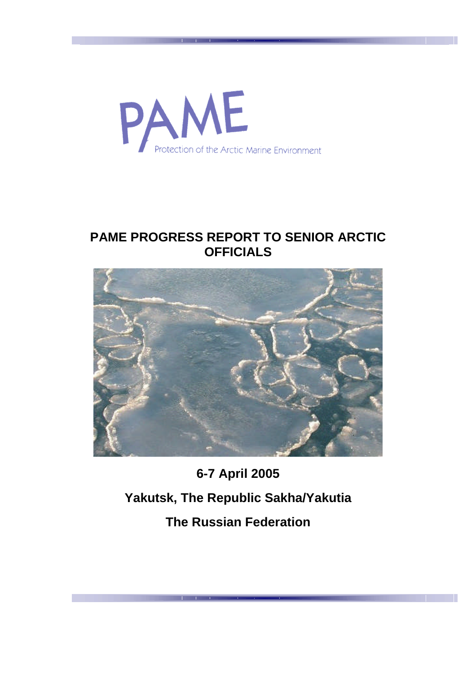

# **PAME PROGRESS REPORT TO SENIOR ARCTIC OFFICIALS**



**6-7 April 2005 Yakutsk, The Republic Sakha/Yakutia The Russian Federation**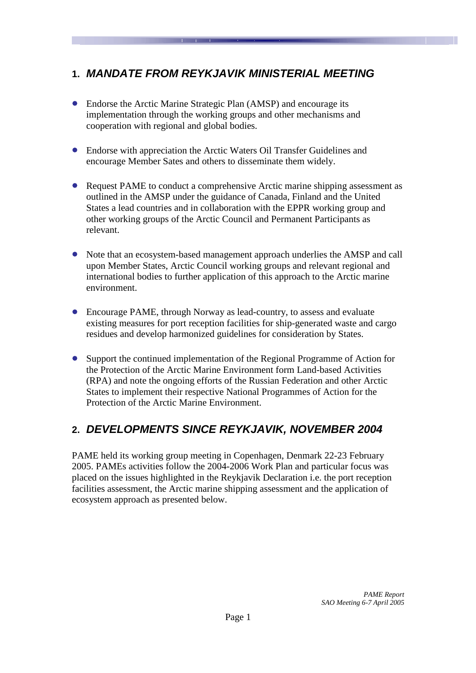### **1.** *MANDATE FROM REYKJAVIK MINISTERIAL MEETING*

- Endorse the Arctic Marine Strategic Plan (AMSP) and encourage its implementation through the working groups and other mechanisms and cooperation with regional and global bodies.
- Endorse with appreciation the Arctic Waters Oil Transfer Guidelines and encourage Member Sates and others to disseminate them widely.
- Request PAME to conduct a comprehensive Arctic marine shipping assessment as outlined in the AMSP under the guidance of Canada, Finland and the United States a lead countries and in collaboration with the EPPR working group and other working groups of the Arctic Council and Permanent Participants as relevant.
- Note that an ecosystem-based management approach underlies the AMSP and call upon Member States, Arctic Council working groups and relevant regional and international bodies to further application of this approach to the Arctic marine environment.
- Encourage PAME, through Norway as lead-country, to assess and evaluate existing measures for port reception facilities for ship-generated waste and cargo residues and develop harmonized guidelines for consideration by States.
- Support the continued implementation of the Regional Programme of Action for the Protection of the Arctic Marine Environment form Land-based Activities (RPA) and note the ongoing efforts of the Russian Federation and other Arctic States to implement their respective National Programmes of Action for the Protection of the Arctic Marine Environment.

### **2.** *DEVELOPMENTS SINCE REYKJAVIK, NOVEMBER 2004*

PAME held its working group meeting in Copenhagen, Denmark 22-23 February 2005. PAMEs activities follow the 2004-2006 Work Plan and particular focus was placed on the issues highlighted in the Reykjavik Declaration i.e. the port reception facilities assessment, the Arctic marine shipping assessment and the application of ecosystem approach as presented below.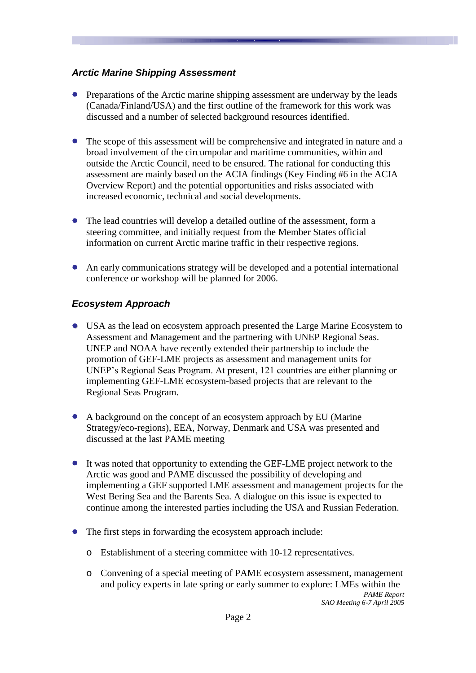#### *Arctic Marine Shipping Assessment*

- Preparations of the Arctic marine shipping assessment are underway by the leads (Canada/Finland/USA) and the first outline of the framework for this work was discussed and a number of selected background resources identified.
- The scope of this assessment will be comprehensive and integrated in nature and a broad involvement of the circumpolar and maritime communities, within and outside the Arctic Council, need to be ensured. The rational for conducting this assessment are mainly based on the ACIA findings (Key Finding #6 in the ACIA Overview Report) and the potential opportunities and risks associated with increased economic, technical and social developments.
- The lead countries will develop a detailed outline of the assessment, form a steering committee, and initially request from the Member States official information on current Arctic marine traffic in their respective regions.
- An early communications strategy will be developed and a potential international conference or workshop will be planned for 2006.

#### *Ecosystem Approach*

- USA as the lead on ecosystem approach presented the Large Marine Ecosystem to Assessment and Management and the partnering with UNEP Regional Seas. UNEP and NOAA have recently extended their partnership to include the promotion of GEF-LME projects as assessment and management units for UNEP's Regional Seas Program. At present, 121 countries are either planning or implementing GEF-LME ecosystem-based projects that are relevant to the Regional Seas Program.
- A background on the concept of an ecosystem approach by EU (Marine Strategy/eco-regions), EEA, Norway, Denmark and USA was presented and discussed at the last PAME meeting
- It was noted that opportunity to extending the GEF-LME project network to the Arctic was good and PAME discussed the possibility of developing and implementing a GEF supported LME assessment and management projects for the West Bering Sea and the Barents Sea. A dialogue on this issue is expected to continue among the interested parties including the USA and Russian Federation.
- The first steps in forwarding the ecosystem approach include:
	- o Establishment of a steering committee with 10-12 representatives.
	- *PAME Report SAO Meeting 6-7 April 2005* o Convening of a special meeting of PAME ecosystem assessment, management and policy experts in late spring or early summer to explore: LMEs within the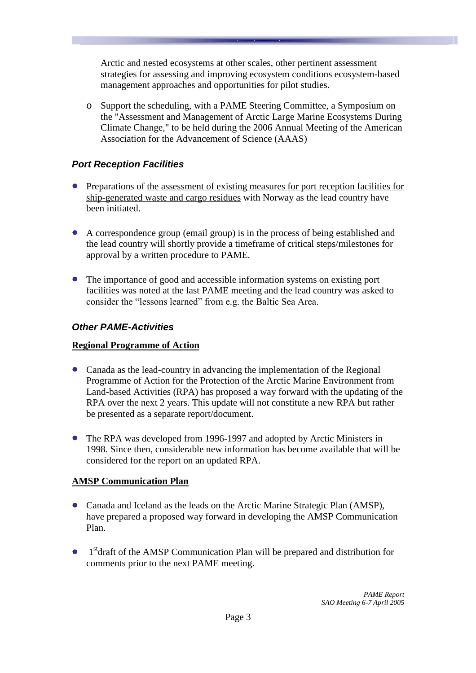Arctic and nested ecosystems at other scales, other pertinent assessment strategies for assessing and improving ecosystem conditions ecosystem-based management approaches and opportunities for pilot studies.

o Support the scheduling, with a PAME Steering Committee, a Symposium on the "Assessment and Management of Arctic Large Marine Ecosystems During Climate Change," to be held during the 2006 Annual Meeting of the American Association for the Advancement of Science (AAAS)

### *Port Reception Facilities*

- Preparations of the assessment of existing measures for port reception facilities for ship-generated waste and cargo residues with Norway as the lead country have been initiated.
- A correspondence group (email group) is in the process of being established and the lead country will shortly provide a timeframe of critical steps/milestones for approval by a written procedure to PAME.
- The importance of good and accessible information systems on existing port facilities was noted at the last PAME meeting and the lead country was asked to consider the "lessons learned" from e.g. the Baltic Sea Area.

#### *Other PAME-Activities*

#### **Regional Programme of Action**

- Canada as the lead-country in advancing the implementation of the Regional Programme of Action for the Protection of the Arctic Marine Environment from Land-based Activities (RPA) has proposed a way forward with the updating of the RPA over the next 2 years. This update will not constitute a new RPA but rather be presented as a separate report/document.
- The RPA was developed from 1996-1997 and adopted by Arctic Ministers in 1998. Since then, considerable new information has become available that will be considered for the report on an updated RPA.

#### **AMSP Communication Plan**

- Canada and Iceland as the leads on the Arctic Marine Strategic Plan (AMSP), have prepared a proposed way forward in developing the AMSP Communication Plan.
- 1<sup>st</sup>draft of the AMSP Communication Plan will be prepared and distribution for comments prior to the next PAME meeting.